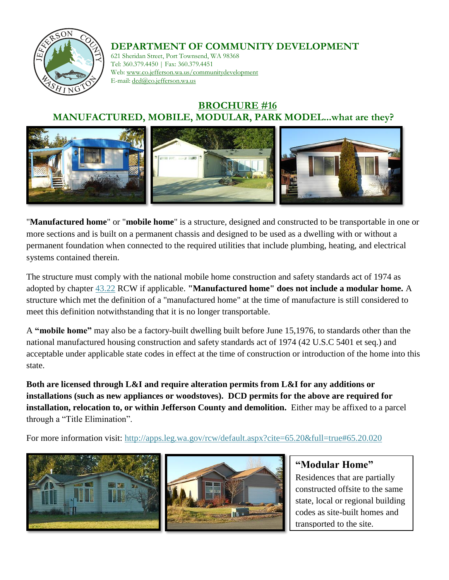

### **DEPARTMENT OF COMMUNITY DEVELOPMENT**

621 Sheridan Street, Port Townsend, WA 98368 Tel: 360.379.4450 | Fax: 360.379.4451 Web: www.co.jefferson.wa.us/communitydevelopment E-mail: dcd@co.jefferson.wa.us

## **BROCHURE #16 MANUFACTURED, MOBILE, MODULAR, PARK MODEL...what are they?**



"**Manufactured home**" or "**mobile home**" is a structure, designed and constructed to be transportable in one or more sections and is built on a permanent chassis and designed to be used as a dwelling with or without a permanent foundation when connected to the required utilities that include plumbing, heating, and electrical systems contained therein.

The structure must comply with the national mobile home construction and safety standards act of 1974 as adopted by chapter [43.22](http://apps.leg.wa.gov/rcw/default.aspx?cite=43.22) RCW if applicable. **"Manufactured home" does not include a modular home.** A structure which met the definition of a "manufactured home" at the time of manufacture is still considered to meet this definition notwithstanding that it is no longer transportable.

A **"mobile home"** may also be a factory-built dwelling built before June 15,1976, to standards other than the national manufactured housing construction and safety standards act of 1974 (42 U.S.C 5401 et seq.) and acceptable under applicable state codes in effect at the time of construction or introduction of the home into this state.

**Both are licensed through L&I and require alteration permits from L&I for any additions or installations (such as new appliances or woodstoves). DCD permits for the above are required for installation, relocation to, or within Jefferson County and demolition.** Either may be affixed to a parcel through a "Title Elimination".

For more information visit:<http://apps.leg.wa.gov/rcw/default.aspx?cite=65.20&full=true#65.20.020>



**"Modular Home"**  Residences that are partially constructed offsite to the same state, local or regional building codes as site-built homes and transported to the site.